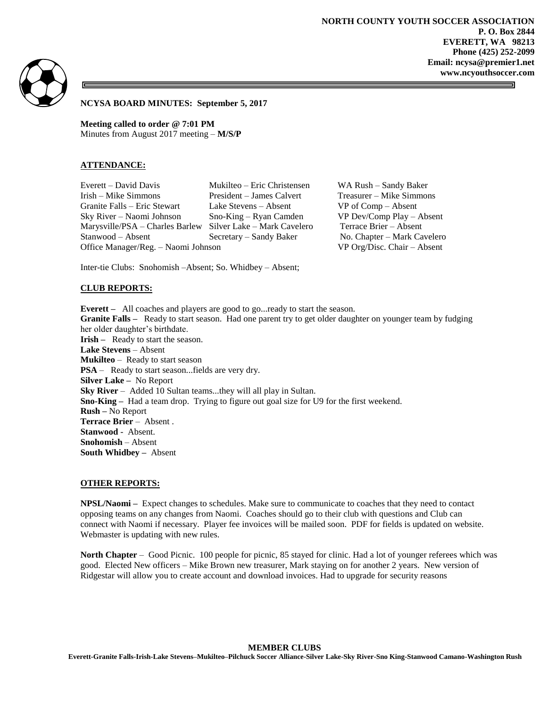**NORTH COUNTY YOUTH SOCCER ASSOCIATION P. O. Box 2844 EVERETT, WA 98213 Phone (425) 252-2099 Email: ncysa@premier1.net www.ncyouthsoccer.com**



**NCYSA BOARD MINUTES: September 5, 2017**

**Meeting called to order @ 7:01 PM** Minutes from August 2017 meeting – **M/S/P**

### **ATTENDANCE:**

Everett – David Davis Mukilteo – Eric Christensen WA Rush – Sandy Baker Irish – Mike Simmons President – James Calvert Treasurer – Mike Simmons Granite Falls – Eric Stewart Lake Stevens – Absent VP of Comp – Absent Sky River – Naomi Johnson Sno-King – Ryan Camden VP Dev/Comp Play – Absent Marysville/PSA – Charles Barlew Silver Lake – Mark Cavelero Terrace Brier – Absent Stanwood – Absent Secretary – Sandy Baker No. Chapter – Mark Cavelero Office Manager/Reg. – Naomi Johnson VP Org/Disc. Chair – Absent

Inter-tie Clubs: Snohomish –Absent; So. Whidbey – Absent;

#### **CLUB REPORTS:**

**Everett** – All coaches and players are good to go... ready to start the season. **Granite Falls –** Ready to start season. Had one parent try to get older daughter on younger team by fudging her older daughter's birthdate. **Irish** – Ready to start the season. **Lake Stevens** – Absent **Mukilteo** – Ready to start season **PSA** – Ready to start season...fields are very dry. **Silver Lake –** No Report **Sky River** – Added 10 Sultan teams...they will all play in Sultan. **Sno-King –** Had a team drop. Trying to figure out goal size for U9 for the first weekend. **Rush –** No Report **Terrace Brier** – Absent . **Stanwood** - Absent. **Snohomish** – Absent **South Whidbey –** Absent

### **OTHER REPORTS:**

**NPSL/Naomi –** Expect changes to schedules. Make sure to communicate to coaches that they need to contact opposing teams on any changes from Naomi. Coaches should go to their club with questions and Club can connect with Naomi if necessary. Player fee invoices will be mailed soon. PDF for fields is updated on website. Webmaster is updating with new rules.

**North Chapter** – Good Picnic. 100 people for picnic, 85 stayed for clinic. Had a lot of younger referees which was good. Elected New officers – Mike Brown new treasurer, Mark staying on for another 2 years. New version of Ridgestar will allow you to create account and download invoices. Had to upgrade for security reasons